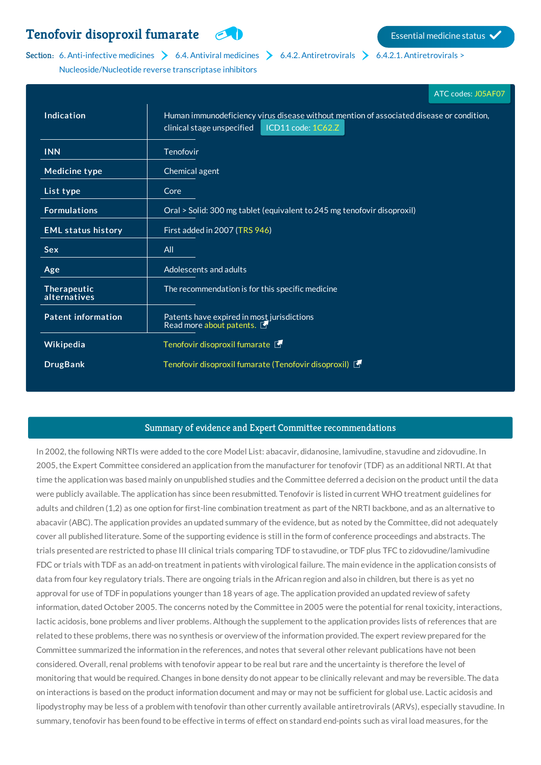## **Tenofovir [disoproxil](http://list.essentialmeds.org/medicines/365) fumarate Example 1999** Essential medicine status

## Section: 6. [Anti-infective](http://list.essentialmeds.org/?section=332) [medicines](http://list.essentialmeds.org/?section=343)  $\triangleright$  6.4. Antiviral medicines  $\triangleright$  6.4.2. [Antiretrovirals](http://list.essentialmeds.org/?section=345)  $\triangleright$  6.4.2.1. Antiretrovirals >

[Nucleoside/Nucleotide](http://list.essentialmeds.org/?section=346) reverse transcriptase inhibitors

|                             | ATC codes: J05AF07                                                                                                                           |
|-----------------------------|----------------------------------------------------------------------------------------------------------------------------------------------|
| Indication                  | Human immunodeficiency virus disease without mention of associated disease or condition,<br>ICD11 code: 1C62.Z<br>clinical stage unspecified |
| <b>INN</b>                  | Tenofovir                                                                                                                                    |
| Medicine type               | Chemical agent                                                                                                                               |
| List type                   | Core                                                                                                                                         |
| <b>Formulations</b>         | Oral > Solid: 300 mg tablet (equivalent to 245 mg tenofovir disoproxil)                                                                      |
| <b>EML status history</b>   | First added in 2007 (TRS 946)                                                                                                                |
| <b>Sex</b>                  | All                                                                                                                                          |
| Age                         | Adolescents and adults                                                                                                                       |
| Therapeutic<br>alternatives | The recommendation is for this specific medicine                                                                                             |
| <b>Patent information</b>   | Patents have expired in most jurisdictions<br>Read more about patents.                                                                       |
| Wikipedia                   | Tenofovir disoproxil fumarate                                                                                                                |
| <b>DrugBank</b>             | Tenofovir disoproxil fumarate (Tenofovir disoproxil)                                                                                         |

## Summary of evidence and Expert Committee recommendations

In 2002, the following NRTIs were added to the core Model List: abacavir, didanosine, lamivudine, stavudine and zidovudine. In 2005, the Expert Committee considered an application from the manufacturer for tenofovir (TDF) as an additional NRTI. At that time the application was based mainly on unpublished studies and the Committee deferred a decision on the product until the data were publicly available. The application has since been resubmitted. Tenofovir is listed in current WHO treatment guidelines for adults and children (1,2) as one option for first-line combination treatment as part of the NRTI backbone, and as an alternative to abacavir (ABC). The application provides an updated summary of the evidence, but as noted by the Committee, did not adequately cover all published literature. Some of the supporting evidence is still in the form of conference proceedings and abstracts. The trials presented are restricted to phase III clinical trials comparing TDF to stavudine, or TDF plus TFC to zidovudine/lamivudine FDC or trials with TDF as an add-on treatment in patients with virological failure. The main evidence in the application consists of data from four key regulatory trials. There are ongoing trials in the African region and also in children, but there is as yet no approval for use of TDF in populations younger than 18 years of age. The application provided an updated review of safety information, dated October 2005. The concerns noted by the Committee in 2005 were the potential for renal toxicity, interactions, lactic acidosis, bone problems and liver problems. Although the supplement to the application provides lists of references that are related to these problems, there was no synthesis or overview of the information provided. The expert review prepared for the Committee summarized the information in the references, and notes that several other relevant publications have not been considered. Overall, renal problems with tenofovir appear to be real but rare and the uncertainty is therefore the level of monitoring that would be required. Changes in bone density do not appear to be clinically relevant and may be reversible. The data on interactions is based on the product information document and may or may not be sufficient for global use. Lactic acidosis and lipodystrophy may be less of a problem with tenofovir than other currently available antiretrovirals (ARVs), especially stavudine. In summary, tenofovir has been found to be effective in terms of effect on standard end-points such as viral load measures, for the